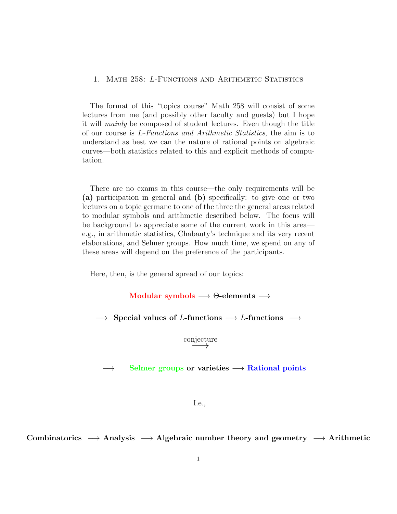# 1. MATH 258: L-FUNCTIONS AND ARITHMETIC STATISTICS

The format of this "topics course" Math 258 will consist of some lectures from me (and possibly other faculty and guests) but I hope it will mainly be composed of student lectures. Even though the title of our course is L-Functions and Arithmetic Statistics, the aim is to understand as best we can the nature of rational points on algebraic curves—both statistics related to this and explicit methods of computation.

There are no exams in this course—the only requirements will be (a) participation in general and (b) specifically: to give one or two lectures on a topic germane to one of the three the general areas related to modular symbols and arithmetic described below. The focus will be background to appreciate some of the current work in this area e.g., in arithmetic statistics, Chabauty's technique and its very recent elaborations, and Selmer groups. How much time, we spend on any of these areas will depend on the preference of the participants.

Here, then, is the general spread of our topics:

Modular symbols  $\longrightarrow$   $\Theta$ -elements  $\longrightarrow$ 

 $\rightarrow$  Special values of L-functions  $\rightarrow$  L-functions  $\rightarrow$ 

conjecture

 $\rightarrow$  Selmer groups or varieties  $\rightarrow$  Rational points

## I.e.,

Combinatorics  $\rightarrow$  Analysis  $\rightarrow$  Algebraic number theory and geometry  $\rightarrow$  Arithmetic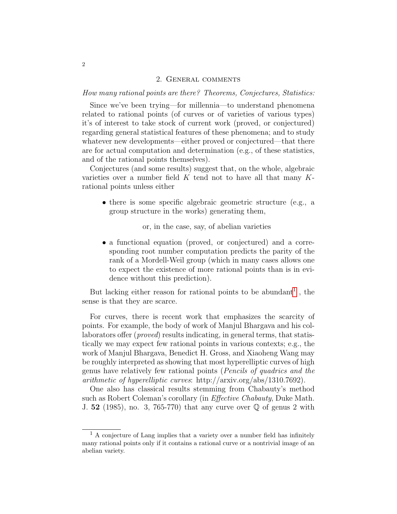#### 2. General comments

How many rational points are there? Theorems, Conjectures, Statistics:

Since we've been trying—for millennia—to understand phenomena related to rational points (of curves or of varieties of various types) it's of interest to take stock of current work (proved, or conjectured) regarding general statistical features of these phenomena; and to study whatever new developments—either proved or conjectured—that there are for actual computation and determination (e.g., of these statistics, and of the rational points themselves).

Conjectures (and some results) suggest that, on the whole, algebraic varieties over a number field  $K$  tend not to have all that many  $K$ rational points unless either

• there is some specific algebraic geometric structure (e.g., a group structure in the works) generating them,

or, in the case, say, of abelian varieties

• a functional equation (proved, or conjectured) and a corresponding root number computation predicts the parity of the rank of a Mordell-Weil group (which in many cases allows one to expect the existence of more rational points than is in evidence without this prediction).

But lacking either reason for rational points to be abundant<sup>[1](#page-1-0)</sup>, the sense is that they are scarce.

For curves, there is recent work that emphasizes the scarcity of points. For example, the body of work of Manjul Bhargava and his collaborators offer (*proved*) results indicating, in general terms, that statistically we may expect few rational points in various contexts; e.g., the work of Manjul Bhargava, Benedict H. Gross, and Xiaoheng Wang may be roughly interpreted as showing that most hyperelliptic curves of high genus have relatively few rational points (Pencils of quadrics and the arithmetic of hyperelliptic curves: http://arxiv.org/abs/1310.7692).

One also has classical results stemming from Chabauty's method such as Robert Coleman's corollary (in *Effective Chabauty*, Duke Math. J. 52 (1985), no. 3, 765-770) that any curve over  $\mathbb Q$  of genus 2 with

<span id="page-1-0"></span> $^{\rm 1}$  A conjecture of Lang implies that a variety over a number field has infinitely many rational points only if it contains a rational curve or a nontrivial image of an abelian variety.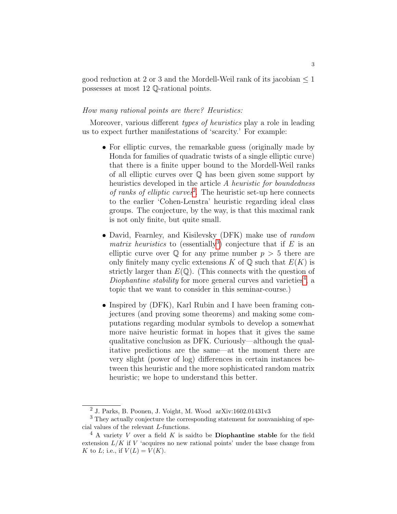good reduction at 2 or 3 and the Mordell-Weil rank of its jacobian  $\leq 1$ possesses at most 12 Q-rational points.

# How many rational points are there? Heuristics:

Moreover, various different *types of heuristics* play a role in leading us to expect further manifestations of 'scarcity.' For example:

- For elliptic curves, the remarkable guess (originally made by Honda for families of quadratic twists of a single elliptic curve) that there is a finite upper bound to the Mordell-Weil ranks of all elliptic curves over Q has been given some support by heuristics developed in the article A heuristic for boundedness of ranks of elliptic curves<sup>[2](#page-2-0)</sup>. The heuristic set-up here connects to the earlier 'Cohen-Lenstra' heuristic regarding ideal class groups. The conjecture, by the way, is that this maximal rank is not only finite, but quite small.
- David, Fearnley, and Kisilevsky (DFK) make use of *random* matrix heuristics to (essentially<sup>[3](#page-2-1)</sup>) conjecture that if  $E$  is an elliptic curve over  $\mathbb Q$  for any prime number  $p > 5$  there are only finitely many cyclic extensions K of  $\mathbb Q$  such that  $E(K)$  is strictly larger than  $E(\mathbb{Q})$ . (This connects with the question of Diophantine stability for more general curves and varieties<sup>[4](#page-2-2)</sup>, a topic that we want to consider in this seminar-course.)
- Inspired by (DFK), Karl Rubin and I have been framing conjectures (and proving some theorems) and making some computations regarding modular symbols to develop a somewhat more naive heuristic format in hopes that it gives the same qualitative conclusion as DFK. Curiously—although the qualitative predictions are the same—at the moment there are very slight (power of log) differences in certain instances between this heuristic and the more sophisticated random matrix heuristic; we hope to understand this better.

<span id="page-2-1"></span><span id="page-2-0"></span><sup>2</sup> J. Parks, B. Poonen, J. Voight, M. Wood arXiv:1602.01431v3

<sup>3</sup> They actually conjecture the corresponding statement for nonvanishing of special values of the relevant L-functions.

<span id="page-2-2"></span> $4$  A variety V over a field K is saidto be **Diophantine stable** for the field extension  $L/K$  if  $V$  'acquires no new rational points' under the base change from K to L; i.e., if  $V(L) = V(K)$ .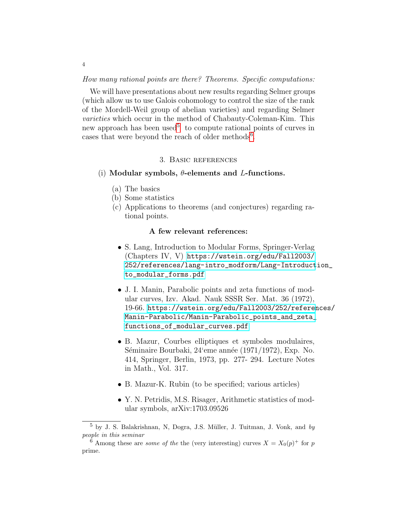How many rational points are there? Theorems. Specific computations:

We will have presentations about new results regarding Selmer groups (which allow us to use Galois cohomology to control the size of the rank of the Mordell-Weil group of abelian varieties) and regarding Selmer varieties which occur in the method of Chabauty-Coleman-Kim. This new approach has been used<sup>[5](#page-3-0)</sup> to compute rational points of curves in cases that were beyond the reach of older methods<sup>[6](#page-3-1)</sup>.

### 3. Basic references

#### (i) Modular symbols,  $\theta$ -elements and *L*-functions.

- (a) The basics
- (b) Some statistics
- (c) Applications to theorems (and conjectures) regarding rational points.

## A few relevant references:

- S. Lang, Introduction to Modular Forms, Springer-Verlag (Chapters IV, V) [https://wstein.org/edu/Fall2003/](https://wstein.org/edu/Fall2003/252/references/lang-intro_modform/Lang-Introduction_to_modular_forms.pdf) [252/references/lang-intro\\_modform/Lang-Introduct](https://wstein.org/edu/Fall2003/252/references/lang-intro_modform/Lang-Introduction_to_modular_forms.pdf)ion\_ [to\\_modular\\_forms.pdf](https://wstein.org/edu/Fall2003/252/references/lang-intro_modform/Lang-Introduction_to_modular_forms.pdf)
- J. I. Manin, Parabolic points and zeta functions of modular curves, Izv. Akad. Nauk SSSR Ser. Mat. 36 (1972), 19-66. [https://wstein.org/edu/Fall2003/252/referen](https://wstein.org/edu/Fall2003/252/references/Manin-Parabolic/Manin-Parabolic_points_and_zeta_functions_of_modular_curves.pdf)ces/ [Manin-Parabolic/Manin-Parabolic\\_points\\_and\\_zeta\\_](https://wstein.org/edu/Fall2003/252/references/Manin-Parabolic/Manin-Parabolic_points_and_zeta_functions_of_modular_curves.pdf) [functions\\_of\\_modular\\_curves.pdf](https://wstein.org/edu/Fall2003/252/references/Manin-Parabolic/Manin-Parabolic_points_and_zeta_functions_of_modular_curves.pdf)
- B. Mazur, Courbes elliptiques et symboles modulaires, Séminaire Bourbaki,  $24$ 'eme année (1971/1972), Exp. No. 414, Springer, Berlin, 1973, pp. 277- 294. Lecture Notes in Math., Vol. 317.
- B. Mazur-K. Rubin (to be specified; various articles)
- Y. N. Petridis, M.S. Risager, Arithmetic statistics of modular symbols, arXiv:1703.09526

4

<span id="page-3-0"></span> $5$  by J. S. Balakrishnan, N, Dogra, J.S. Müller, J. Tuitman, J. Vonk, and by people in this seminar

<span id="page-3-1"></span><sup>&</sup>lt;sup>6</sup> Among these are *some of the* the (very interesting) curves  $X = X_0(p)^+$  for p prime.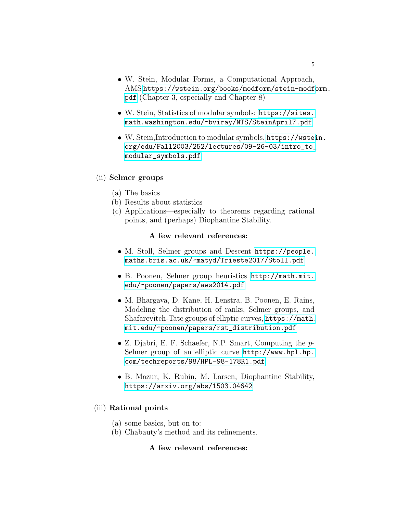- W. Stein, Modular Forms, a Computational Approach, AMS [https://wstein.org/books/modform/stein-modfo](https://wstein.org/books/modform/stein-modform.pdf)rm. [pdf](https://wstein.org/books/modform/stein-modform.pdf) (Chapter 3, especially and Chapter 8)
- W. Stein, Statistics of modular symbols: [https://sites.](https://sites.math.washington.edu/~bviray/NTS/SteinApril7.pdf) [math.washington.edu/~bviray/NTS/SteinApril7.pdf](https://sites.math.washington.edu/~bviray/NTS/SteinApril7.pdf)
- W. Stein,Introduction to modular symbols, [https://wstei](https://wstein.org/edu/Fall2003/252/lectures/09-26-03/intro_to_modular_symbols.pdf)n. [org/edu/Fall2003/252/lectures/09-26-03/intro\\_to\\_](https://wstein.org/edu/Fall2003/252/lectures/09-26-03/intro_to_modular_symbols.pdf) [modular\\_symbols.pdf](https://wstein.org/edu/Fall2003/252/lectures/09-26-03/intro_to_modular_symbols.pdf)

# (ii) Selmer groups

- (a) The basics
- (b) Results about statistics
- (c) Applications—especially to theorems regarding rational points, and (perhaps) Diophantine Stability.

# A few relevant references:

- M. Stoll, Selmer groups and Descent [https://people.](https://people.maths.bris.ac.uk/~matyd/Trieste2017/Stoll.pdf) [maths.bris.ac.uk/~matyd/Trieste2017/Stoll.pdf](https://people.maths.bris.ac.uk/~matyd/Trieste2017/Stoll.pdf)
- B. Poonen, Selmer group heuristics [http://math.mit.](http://math.mit.edu/~poonen/papers/aws2014.pdf) [edu/~poonen/papers/aws2014.pdf](http://math.mit.edu/~poonen/papers/aws2014.pdf)
- M. Bhargava, D. Kane, H. Lenstra, B. Poonen, E. Rains, Modeling the distribution of ranks, Selmer groups, and Shafarevitch-Tate groups of elliptic curves, [https://math.](https://math.mit.edu/~poonen/papers/rst_distribution.pdf) [mit.edu/~poonen/papers/rst\\_distribution.pdf](https://math.mit.edu/~poonen/papers/rst_distribution.pdf)
- Z. Djabri, E. F. Schaefer, N.P. Smart, Computing the p-Selmer group of an elliptic curve [http://www.hpl.hp.](http://www.hpl.hp.com/techreports/98/HPL-98-178R1.pdf) [com/techreports/98/HPL-98-178R1.pdf](http://www.hpl.hp.com/techreports/98/HPL-98-178R1.pdf)
- B. Mazur, K. Rubin, M. Larsen, Diophantine Stability, <https://arxiv.org/abs/1503.04642>

# (iii) Rational points

- (a) some basics, but on to:
- (b) Chabauty's method and its refinements.

# A few relevant references: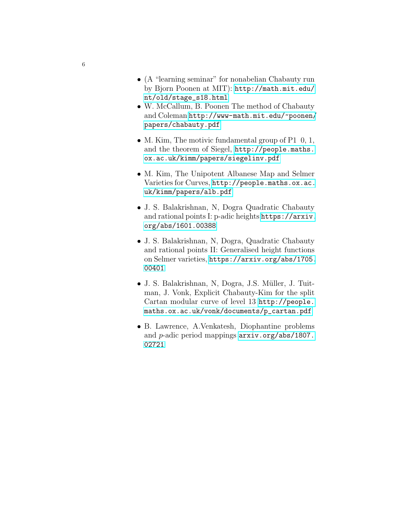- (A "learning seminar" for nonabelian Chabauty run by Bjorn Poonen at MIT): [http://math.mit.edu/](http://math.mit.edu/nt/old/stage_s18.html) [nt/old/stage\\_s18.html](http://math.mit.edu/nt/old/stage_s18.html)
- W. McCallum, B. Poonen The method of Chabauty and Coleman [http://www-math.mit.edu/~poonen/](http://www-math.mit.edu/~poonen/papers/chabauty.pdf) [papers/chabauty.pdf](http://www-math.mit.edu/~poonen/papers/chabauty.pdf)
- M. Kim, The motivic fundamental group of P1 0, 1, and the theorem of Siegel, [http://people.maths.](http://people.maths.ox.ac.uk/kimm/papers/siegelinv.pdf) [ox.ac.uk/kimm/papers/siegelinv.pdf](http://people.maths.ox.ac.uk/kimm/papers/siegelinv.pdf)
- M. Kim, The Unipotent Albanese Map and Selmer Varieties for Curves, [http://people.maths.ox.ac.](http://people.maths.ox.ac.uk/kimm/papers/alb.pdf) [uk/kimm/papers/alb.pdf](http://people.maths.ox.ac.uk/kimm/papers/alb.pdf)
- J. S. Balakrishnan, N, Dogra Quadratic Chabauty and rational points I: p-adic heights [https://arxiv.](https://arxiv.org/abs/1601.00388) [org/abs/1601.00388](https://arxiv.org/abs/1601.00388)
- J. S. Balakrishnan, N, Dogra, Quadratic Chabauty and rational points II: Generalised height functions on Selmer varieties, [https://arxiv.org/abs/1705.](https://arxiv.org/abs/1705.00401) [00401](https://arxiv.org/abs/1705.00401)
- J. S. Balakrishnan, N, Dogra, J.S. Müller, J. Tuitman, J. Vonk, Explicit Chabauty-Kim for the split Cartan modular curve of level 13 [http://people.](http://people.maths.ox.ac.uk/vonk/documents/p_cartan.pdf) [maths.ox.ac.uk/vonk/documents/p\\_cartan.pdf](http://people.maths.ox.ac.uk/vonk/documents/p_cartan.pdf)
- B. Lawrence, A.Venkatesh, Diophantine problems and p-adic period mappings [arxiv.org/abs/1807.](arxiv.org/abs/1807.02721) [02721](arxiv.org/abs/1807.02721)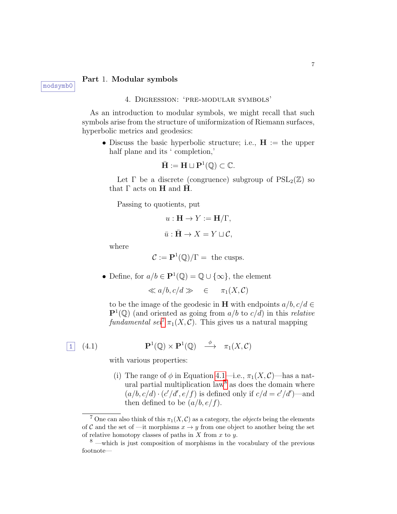### Part 1. Modular symbols

#### 4. Digression: 'pre-modular symbols'

As an introduction to modular symbols, we might recall that such symbols arise from the structure of uniformization of Riemann surfaces, hyperbolic metrics and geodesics:

• Discuss the basic hyperbolic structure; i.e.,  $H :=$  the upper half plane and its ' completion,'

$$
\bar{\mathbf{H}} := \mathbf{H} \sqcup \mathbf{P}^1(\mathbb{Q}) \subset \mathbb{C}.
$$

Let  $\Gamma$  be a discrete (congruence) subgroup of  $PSL_2(\mathbb{Z})$  so that  $\Gamma$  acts on **H** and **H**.

Passing to quotients, put

$$
u: \mathbf{H} \to Y := \mathbf{H}/\Gamma,
$$
  

$$
\bar{u}: \bar{\mathbf{H}} \to X = Y \sqcup \mathcal{C},
$$

where

$$
\mathcal{C} := \mathbf{P}^1(\mathbb{Q})/\Gamma = \text{ the cusps.}
$$

• Define, for  $a/b \in \mathbf{P}^1(\mathbb{Q}) = \mathbb{Q} \cup \{\infty\}$ , the element

 $\ll a/b, c/d \gg \in \pi_1(X, \mathcal{C})$ 

to be the image of the geodesic in **H** with endpoints  $a/b, c/d \in$  $\mathbf{P}^1(\mathbb{Q})$  (and oriented as going from  $a/b$  to  $c/d$ ) in this *relative* fundamental set<sup>[7](#page-6-0)</sup>  $\pi_1(X, \mathcal{C})$ . This gives us a natural mapping

$$
\boxed{1} \quad (4.1)
$$

<span id="page-6-1"></span>
$$
\mathbf{P}^1(\mathbb{Q}) \times \mathbf{P}^1(\mathbb{Q}) \quad \stackrel{\phi}{\longrightarrow} \quad \pi_1(X, \mathcal{C})
$$

with various properties:

(i) The range of  $\phi$  in Equation [4.1—](#page-6-1)i.e.,  $\pi_1(X, \mathcal{C})$ —has a nat-ural partial multiplication law<sup>[8](#page-6-2)</sup> as does the domain where  $(a/b, c/d) \cdot (c'/d', e/f)$  is defined only if  $c/d = c'/d'$ )—and then defined to be  $(a/b, e/f)$ .

<span id="page-6-0"></span><sup>&</sup>lt;sup>7</sup> One can also think of this  $\pi_1(X, \mathcal{C})$  as a category, the *objects* being the elements of C and the set of —it morphisms  $x \to y$  from one object to another being the set of relative homotopy classes of paths in  $X$  from  $x$  to  $y$ .

<span id="page-6-2"></span><sup>8</sup> —which is just composition of morphisms in the vocabulary of the previous footnote—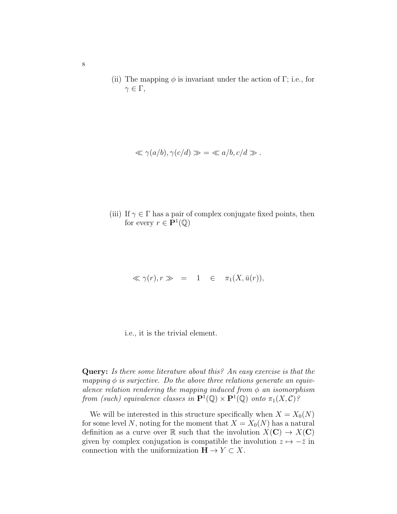(ii) The mapping  $\phi$  is invariant under the action of Γ; i.e., for  $\gamma \in \Gamma$ ,

$$
\ll \gamma(a/b), \gamma(c/d) \gg \; = \; \ll a/b, c/d \gg.
$$

(iii) If  $\gamma \in \Gamma$  has a pair of complex conjugate fixed points, then for every  $r \in \mathbf{P}^1(\mathbb{Q})$ 

$$
\ll \gamma(r), r \gg = 1 \in \pi_1(X, \bar{u}(r)),
$$

i.e., it is the trivial element.

Query: Is there some literature about this? An easy exercise is that the mapping  $\phi$  is surjective. Do the above three relations generate an equivalence relation rendering the mapping induced from  $\phi$  an isomorphism from (such) equivalence classes in  $\mathbf{P}^1(\mathbb{Q}) \times \mathbf{P}^1(\mathbb{Q})$  onto  $\pi_1(X, \mathcal{C})$ ?

We will be interested in this structure specifically when  $X = X_0(N)$ for some level N, noting for the moment that  $X = X_0(N)$  has a natural definition as a curve over R such that the involution  $X(\mathbf{C}) \to X(\mathbf{C})$ given by complex conjugation is compatible the involution  $z \mapsto -\overline{z}$  in connection with the uniformization  $H \to Y \subset X$ .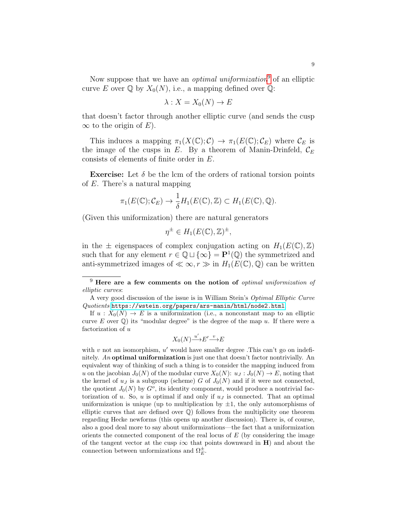Now suppose that we have an *optimal uniformization*<sup>[9](#page-8-0)</sup> of an elliptic curve E over  $\mathbb Q$  by  $X_0(N)$ , i.e., a mapping defined over  $\mathbb Q$ :

$$
\lambda: X = X_0(N) \to E
$$

that doesn't factor through another elliptic curve (and sends the cusp  $\infty$  to the origin of E).

This induces a mapping  $\pi_1(X(\mathbb{C}); \mathcal{C}) \to \pi_1(E(\mathbb{C}); \mathcal{C}_E)$  where  $\mathcal{C}_E$  is the image of the cusps in E. By a theorem of Manin-Drinfeld,  $\mathcal{C}_E$ consists of elements of finite order in E.

**Exercise:** Let  $\delta$  be the lcm of the orders of rational torsion points of E. There's a natural mapping

$$
\pi_1(E(\mathbb{C}); \mathcal{C}_E) \to \frac{1}{\delta} H_1(E(\mathbb{C}), \mathbb{Z}) \subset H_1(E(\mathbb{C}), \mathbb{Q}).
$$

(Given this uniformization) there are natural generators

$$
\eta^{\pm} \in H_1(E(\mathbb{C}), \mathbb{Z})^{\pm},
$$

in the  $\pm$  eigenspaces of complex conjugation acting on  $H_1(E(\mathbb{C}), \mathbb{Z})$ such that for any element  $r \in \mathbb{Q} \cup {\infty} = \mathbf{P}^1(\mathbb{Q})$  the symmetrized and anti-symmetrized images of  $\ll \infty$ ,  $r \gg$  in  $H_1(E(\mathbb{C}), \mathbb{Q})$  can be written

$$
X_0(N) \xrightarrow{u'} E' \xrightarrow{v} E
$$

with  $v$  not an isomorphism,  $u'$  would have smaller degree. This can't go on indefinitely. An optimal uniformization is just one that doesn't factor nontrivially. An equivalent way of thinking of such a thing is to consider the mapping induced from u on the jacobian  $J_0(N)$  of the modular curve  $X_0(N)$ :  $u_J: J_0(N) \to E$ , noting that the kernel of  $u_j$  is a subgroup (scheme) G of  $J_0(N)$  and if it were not connected, the quotient  $J_0(N)$  by  $G^o$ , its identity component, would produce a nontrivial factorization of u. So, u is optimal if and only if  $u<sub>J</sub>$  is connected. That an optimal uniformization is unique (up to multiplication by  $\pm 1$ , the only automorphisms of elliptic curves that are defined over  $\mathbb Q$ ) follows from the multiplicity one theorem regarding Hecke newforms (this opens up another discussion). There is, of course, also a good deal more to say about uniformizations—the fact that a uniformization orients the connected component of the real locus of  $E$  (by considering the image of the tangent vector at the cusp i $\infty$  that points downward in H) and about the connection between unformizations and  $\Omega_{E}^{\pm}$ .

<span id="page-8-0"></span> $9$  Here are a few comments on the notion of *optimal uniformization of* elliptic curves:

A very good discussion of the issue is in William Stein's Optimal Elliptic Curve Quotients <https://wstein.org/papers/ars-manin/html/node2.html>.

If  $u: X_0(N) \to E$  is a uniformization (i.e., a nonconstant map to an elliptic curve  $E$  over  $\mathbb{Q}$ ) its "modular degree" is the degree of the map u. If there were a factorization of u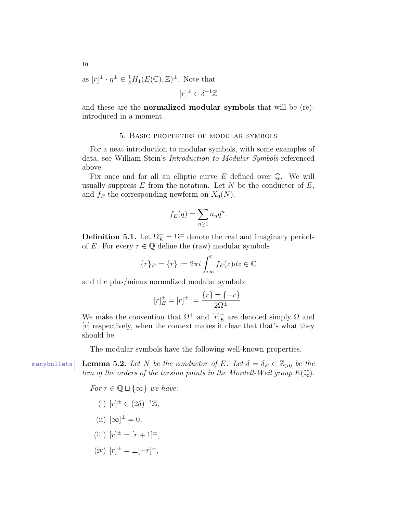as 
$$
[r]^{\pm} \cdot \eta^{\pm} \in \frac{1}{\delta} H_1(E(\mathbb{C}), \mathbb{Z})^{\pm}
$$
. Note that  
 $[r]^{\pm} \in \delta^{-1}\mathbb{Z}$ 

and these are the normalized modular symbols that will be (re) introduced in a moment..

#### 5. Basic properties of modular symbols

For a neat introduction to modular symbols, with some examples of data, see William Stein's Introduction to Modular Symbols referenced above.

Fix once and for all an elliptic curve  $E$  defined over  $\mathbb Q$ . We will usually suppress  $E$  from the notation. Let  $N$  be the conductor of  $E$ , and  $f_E$  the corresponding newform on  $X_0(N)$ .

$$
f_E(q) = \sum_{n \ge 1} a_n q^n.
$$

**Definition 5.1.** Let  $\Omega_E^{\pm} = \Omega^{\pm}$  denote the real and imaginary periods of E. For every  $r \in \mathbb{Q}$  define the (raw) modular symbols

$$
\{r\}_E = \{r\} := 2\pi i \int_{i\infty}^r f_E(z)dz \in \mathbb{C}
$$

and the plus/minus normalized modular symbols

$$
[r]_E^{\pm} = [r]^{\pm} := \frac{\{r\} \pm \{-r\}}{2\Omega^{\pm}}.
$$

We make the convention that  $\Omega^+$  and  $[r]_E^+$  $E$ <sub>E</sub> are denoted simply  $\Omega$  and  $[r]$  respectively, when the context makes it clear that that's what they should be.

<span id="page-9-0"></span>The modular symbols have the following well-known properties.

manybullets Lemma 5.2. Let N be the conductor of E. Let  $\delta = \delta_E \in \mathbb{Z}_{>0}$  be the lcm of the orders of the torsion points in the Mordell-Weil group  $E(\mathbb{Q})$ .

For  $r \in \mathbb{Q} \sqcup \{\infty\}$  we have:

- (i)  $[r]^{\pm} \in (2\delta)^{-1}\mathbb{Z},$
- (ii)  $[\infty]^{\pm} = 0$ ,
- (iii)  $[r]^{\pm} = [r+1]^{\pm}$ ,
- $(iv)$   $[r]^{\pm} = \pm [-r]^{\pm}$ ,

10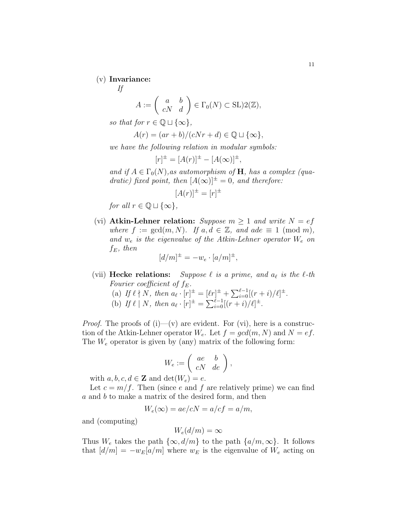### (v) Invariance:

If

$$
A := \begin{pmatrix} a & b \\ cN & d \end{pmatrix} \in \Gamma_0(N) \subset \text{SL}(2(\mathbb{Z}),
$$

so that for  $r \in \mathbb{Q} \sqcup \{\infty\},\$ 

$$
A(r) = (ar + b)/(cNr + d) \in \mathbb{Q} \sqcup \{\infty\},\
$$

we have the following relation in modular symbols:

$$
[r]^{\pm} = [A(r)]^{\pm} - [A(\infty)]^{\pm},
$$

and if  $A \in \Gamma_0(N)$ , as automorphism of H, has a complex (quadratic) fixed point, then  $[A(\infty)]^{\pm} = 0$ , and therefore:

$$
[A(r)]^{\pm} = [r]^{\pm}
$$

for all  $r \in \mathbb{Q} \sqcup \{\infty\},\$ 

(vi) Atkin-Lehner relation: Suppose  $m \geq 1$  and write  $N = ef$ where  $f := \gcd(m, N)$ . If  $a, d \in \mathbb{Z}$ , and ade  $\equiv 1 \pmod{m}$ , and  $w_e$  is the eigenvalue of the Atkin-Lehner operator  $W_e$  on  $f_E$ , then

$$
[d/m]^{\pm} = -w_e \cdot [a/m]^{\pm},
$$

(vii) **Hecke relations:** Suppose  $\ell$  is a prime, and  $a_{\ell}$  is the  $\ell$ -th Fourier coefficient of  $f_E$ . (a) If  $\ell \nmid N$ , then  $a_{\ell} \cdot [r]^{\pm} = [\ell r]^{\pm} + \sum_{i=0}^{\ell-1} [(r+i)/\ell]^{\pm}$ .

(b) If 
$$
\ell | N
$$
, then  $a_{\ell} \cdot [r]^{\pm} = \sum_{i=0}^{\ell-1} [(r+i)/\ell]^{\pm}$ .

*Proof.* The proofs of  $(i)$ — $(v)$  are evident. For  $(vi)$ , here is a construction of the Atkin-Lehner operator  $W_e$ . Let  $f = gcd(m, N)$  and  $N = ef$ . The  $W_e$  operator is given by (any) matrix of the following form:

$$
W_e := \left( \begin{array}{cc} ae & b \\ cN & de \end{array} \right),
$$

with  $a, b, c, d \in \mathbb{Z}$  and  $\det(W_e) = e$ .

Let  $c = m/f$ . Then (since e and f are relatively prime) we can find a and b to make a matrix of the desired form, and then

$$
W_e(\infty) = ae/cN = a/cf = a/m,
$$

and (computing)

$$
W_e(d/m) = \infty
$$

Thus  $W_e$  takes the path  $\{\infty, d/m\}$  to the path  $\{a/m, \infty\}$ . It follows that  $[d/m] = -w_E[a/m]$  where  $w_E$  is the eigenvalue of  $W_e$  acting on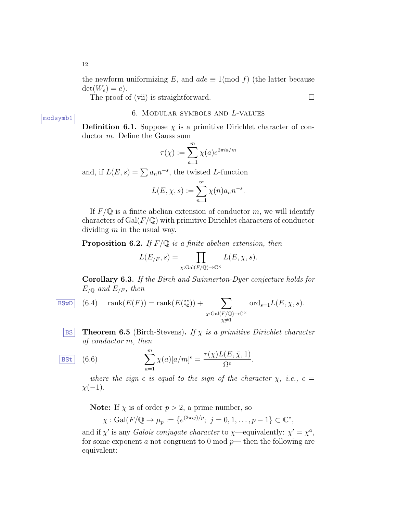The proof of (vii) is straightforward.  $\Box$ 

### 6. Modular symbols and L-values

**Definition 6.1.** Suppose  $\chi$  is a primitive Dirichlet character of conductor m. Define the Gauss sum

$$
\tau(\chi) := \sum_{a=1}^{m} \chi(a) e^{2\pi i a/m}
$$

and, if  $L(E, s) = \sum a_n n^{-s}$ , the twisted L-function

$$
L(E, \chi, s) := \sum_{n=1}^{\infty} \chi(n) a_n n^{-s}.
$$

If  $F/\mathbb{Q}$  is a finite abelian extension of conductor m, we will identify characters of  $Gal(F/\mathbb{Q})$  with primitive Dirichlet characters of conductor dividing  $m$  in the usual way.

**Proposition 6.2.** If  $F/\mathbb{Q}$  is a finite abelian extension, then

$$
L(E_{/F}, s) = \prod_{\chi: Gal(F/\mathbb{Q}) \to \mathbb{C}^{\times}} L(E, \chi, s).
$$

Corollary 6.3. If the Birch and Swinnerton-Dyer conjecture holds for  $E_{\sqrt{Q}}$  and  $E_{/F}$ , then

- $\overline{\text{BSwD}}$  (6.4)  $\text{rank}(E(F)) = \text{rank}(E(\mathbb{Q})) + \sum$  $\chi: Gal(F/\mathbb{Q}) \to \mathbb{C}^\times$  $x\neq1$  $\mathrm{ord}_{s=1}L(E,\chi,s).$ 
	- **BS** Theorem 6.5 (Birch-Stevens). If  $\chi$  is a primitive Dirichlet character of conductor m, then

<span id="page-11-0"></span>
$$
\boxed{\text{BSt}} \quad (6.6) \qquad \qquad \sum_{a=1}^{m} \chi(a)[a/m]^{\epsilon} = \frac{\tau(\chi)L(E,\bar{\chi},1)}{\Omega^{\epsilon}}.
$$

where the sign  $\epsilon$  is equal to the sign of the character  $\chi$ , i.e.,  $\epsilon =$  $\chi(-1)$ .

**Note:** If  $\chi$  is of order  $p > 2$ , a prime number, so

$$
\chi
$$
: Gal $(F/\mathbb{Q} \to \mu_p) := \{e^{(2\pi ij)/p}; j = 0, 1, ..., p-1\} \subset \mathbb{C}^*,$ 

and if  $\chi'$  is any *Galois conjugate character* to  $\chi$ —equivalently:  $\chi' = \chi^a$ , for some exponent a not congruent to 0 mod  $p$ — then the following are equivalent:

modsymb1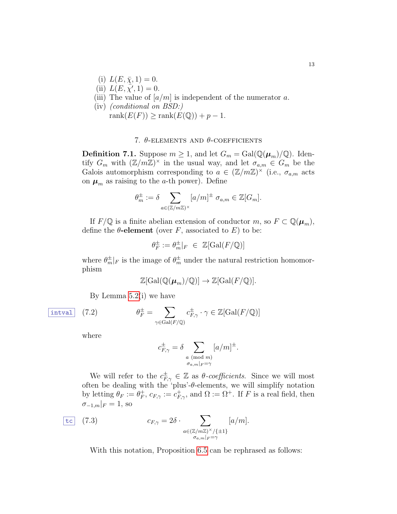- (i)  $L(E, \bar{\chi}, 1) = 0$ .
- (ii)  $L(E, \overline{\chi'}, 1) = 0.$
- (iii) The value of  $\lfloor a/m \rfloor$  is independent of the numerator a.
- (iv) (conditional on BSD:) rank $(E(F)) \geq \text{rank}(E(\mathbb{Q})) + p - 1.$

## 7.  $\theta$ -ELEMENTS AND  $\theta$ -COEFFICIENTS

**Definition 7.1.** Suppose  $m \geq 1$ , and let  $G_m = \text{Gal}(\mathbb{Q}(\mu_m)/\mathbb{Q})$ . Identify  $G_m$  with  $(\mathbb{Z}/m\mathbb{Z})^{\times}$  in the usual way, and let  $\sigma_{a,m} \in G_m$  be the Galois automorphism corresponding to  $a \in (\mathbb{Z}/m\mathbb{Z})^{\times}$  (i.e.,  $\sigma_{a,m}$  acts on  $\mu_m$  as raising to the *a*-th power). Define

$$
\theta_m^{\pm} := \delta \sum_{a \in (\mathbb{Z}/m\mathbb{Z})^{\times}} [a/m]^{\pm} \sigma_{a,m} \in \mathbb{Z}[G_m].
$$

If  $F/\mathbb{Q}$  is a finite abelian extension of conductor m, so  $F \subset \mathbb{Q}(\mu_m)$ , define the  $\theta$ -element (over F, associated to E) to be:

$$
\theta_F^{\pm} := \theta_m^{\pm}|_F \in \mathbb{Z}[\text{Gal}(F/\mathbb{Q})]
$$

where  $\theta_m^{\pm}|_F$  is the image of  $\theta_m^{\pm}$  under the natural restriction homomorphism

$$
\mathbb{Z}[\text{Gal}(\mathbb{Q}(\boldsymbol{\mu}_m)/\mathbb{Q})] \to \mathbb{Z}[\text{Gal}(F/\mathbb{Q})].
$$

By Lemma [5.2\(](#page-9-0)i) we have

$$
\boxed{\text{interval}} \quad (7.2) \qquad \qquad \theta_F^{\pm} = \sum_{\gamma \in \text{Gal}(F)} \theta_F^{\pm} \quad (7.2)
$$

$$
\overline{F}_{F}^{\pm} = \sum_{\gamma \in \text{Gal}(F/\mathbb{Q})} c_{F,\gamma}^{\pm} \cdot \gamma \in \mathbb{Z}[\text{Gal}(F/\mathbb{Q})]
$$

where

$$
c_{F,\gamma}^{\pm} = \delta \sum_{\substack{a \pmod{m} \\ \sigma_{a,m}|_F = \gamma}} [a/m]^{\pm}.
$$

We will refer to the  $c_{F,\gamma}^{\pm} \in \mathbb{Z}$  as  $\theta$ -coefficients. Since we will most often be dealing with the 'plus'- $\theta$ -elements, we will simplify notation by letting  $\theta_F := \theta_F^+$  ${}_{F}^{+}$ ,  $c_{F,\gamma} := c_{F,\gamma}^{+}$ , and  $\Omega := \Omega^{+}$ . If F is a real field, then  $\sigma_{-1,m}|_F = 1$ , so

$$
\begin{array}{ll}\n\text{tc} & (7.3) & c_{F,\gamma} = 2\delta \cdot \sum_{\substack{a \in (\mathbb{Z}/m\mathbb{Z})^\times/\{\pm 1\} \\ \sigma_{a,m}|_F = \gamma}} [a/m].\n\end{array}
$$

With this notation, Proposition [6.5](#page-11-0) can be rephrased as follows: